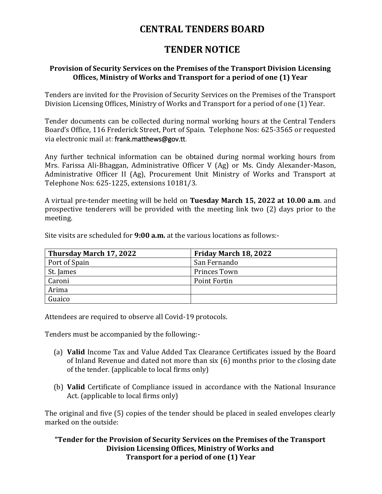## **CENTRAL TENDERS BOARD**

## **TENDER NOTICE**

## **Provision of Security Services on the Premises of the Transport Division Licensing Offices, Ministry of Works and Transport for a period of one (1) Year**

Tenders are invited for the Provision of Security Services on the Premises of the Transport Division Licensing Offices, Ministry of Works and Transport for a period of one (1) Year.

Tender documents can be collected during normal working hours at the Central Tenders Board's Office, 116 Frederick Street, Port of Spain. Telephone Nos: 625-3565 or requested via electronic mail at: frank.matthews@gov.tt.

Any further technical information can be obtained during normal working hours from Mrs. Farissa Ali-Bhaggan, Administrative Officer V (Ag) or Ms. Cindy Alexander-Mason, Administrative Officer II (Ag), Procurement Unit Ministry of Works and Transport at Telephone Nos: 625-1225, extensions 10181/3.

A virtual pre-tender meeting will be held on **Tuesday March 15, 2022 at 10.00 a.m**. and prospective tenderers will be provided with the meeting link two (2) days prior to the meeting.

Site visits are scheduled for **9:00 a.m.** at the various locations as follows:-

| Thursday March 17, 2022 | Friday March 18, 2022 |
|-------------------------|-----------------------|
| Port of Spain           | San Fernando          |
| St. James               | Princes Town          |
| Caroni                  | Point Fortin          |
| Arima                   |                       |
| Guaico                  |                       |

Attendees are required to observe all Covid-19 protocols.

Tenders must be accompanied by the following:-

- (a) **Valid** Income Tax and Value Added Tax Clearance Certificates issued by the Board of Inland Revenue and dated not more than six (6) months prior to the closing date of the tender. (applicable to local firms only)
- (b) **Valid** Certificate of Compliance issued in accordance with the National Insurance Act. (applicable to local firms only)

The original and five (5) copies of the tender should be placed in sealed envelopes clearly marked on the outside:

**"Tender for the Provision of Security Services on the Premises of the Transport Division Licensing Offices, Ministry of Works and Transport for a period of one (1) Year**